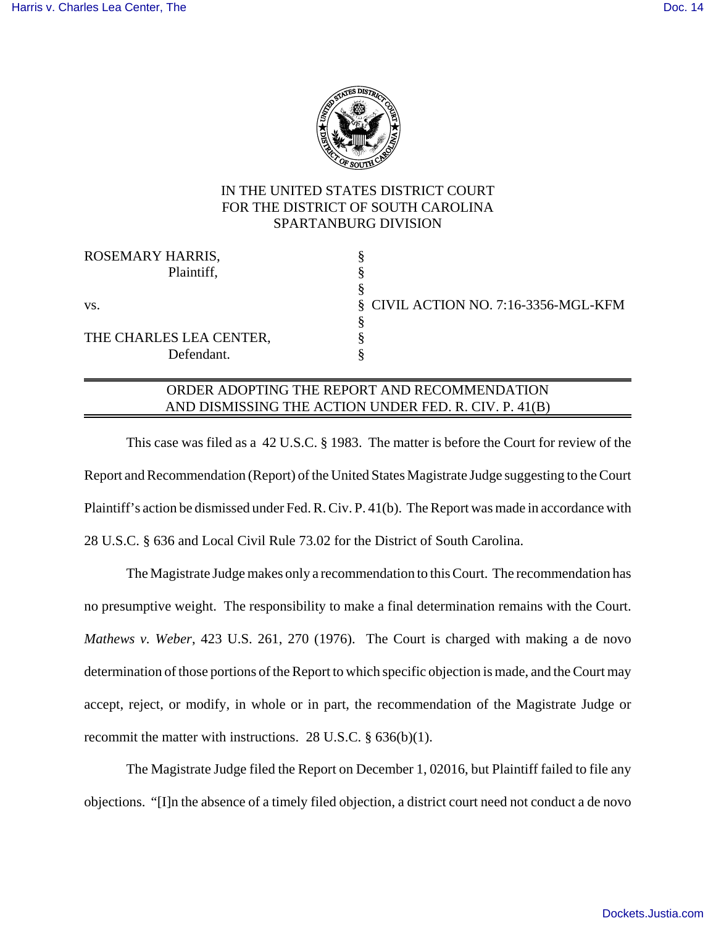

## IN THE UNITED STATES DISTRICT COURT FOR THE DISTRICT OF SOUTH CAROLINA SPARTANBURG DIVISION

| ROSEMARY HARRIS,        |                                      |
|-------------------------|--------------------------------------|
| Plaintiff,              |                                      |
|                         |                                      |
| VS.                     | § CIVIL ACTION NO. 7:16-3356-MGL-KFM |
|                         |                                      |
| THE CHARLES LEA CENTER, |                                      |
| Defendant.              |                                      |
|                         |                                      |

## ORDER ADOPTING THE REPORT AND RECOMMENDATION AND DISMISSING THE ACTION UNDER FED. R. CIV. P. 41(B)

This case was filed as a 42 U.S.C. § 1983. The matter is before the Court for review of the Report and Recommendation (Report) of the United States Magistrate Judge suggesting to the Court Plaintiff's action be dismissed under Fed. R. Civ. P. 41(b). The Report was made in accordance with 28 U.S.C. § 636 and Local Civil Rule 73.02 for the District of South Carolina.

The Magistrate Judge makes only a recommendation to this Court. The recommendation has no presumptive weight. The responsibility to make a final determination remains with the Court. *Mathews v. Weber*, 423 U.S. 261, 270 (1976). The Court is charged with making a de novo determination of those portions of the Report to which specific objection is made, and the Court may accept, reject, or modify, in whole or in part, the recommendation of the Magistrate Judge or recommit the matter with instructions. 28 U.S.C. § 636(b)(1).

The Magistrate Judge filed the Report on December 1, 02016, but Plaintiff failed to file any objections. "[I]n the absence of a timely filed objection, a district court need not conduct a de novo